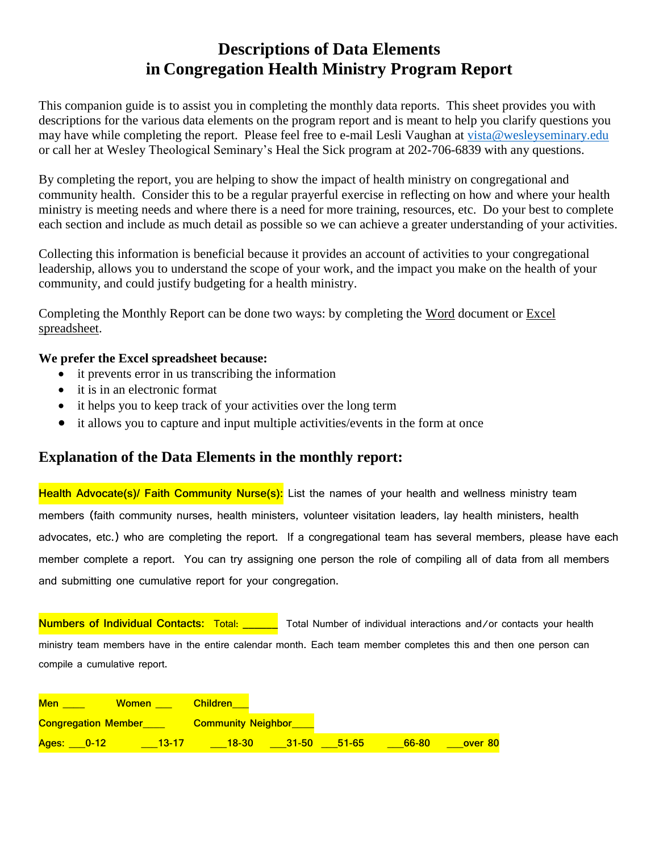# **Descriptions of Data Elements in Congregation Health Ministry Program Report**

This companion guide is to assist you in completing the monthly data reports. This sheet provides you with descriptions for the various data elements on the program report and is meant to help you clarify questions you may have while completing the report. Please feel free to e-mail Lesli Vaughan at [vista@wesleyseminary.edu](mailto:vista@wesleyseminary.edu) or call her at Wesley Theological Seminary's Heal the Sick program at 202-706-6839 with any questions.

By completing the report, you are helping to show the impact of health ministry on congregational and community health. Consider this to be a regular prayerful exercise in reflecting on how and where your health ministry is meeting needs and where there is a need for more training, resources, etc. Do your best to complete each section and include as much detail as possible so we can achieve a greater understanding of your activities.

Collecting this information is beneficial because it provides an account of activities to your congregational leadership, allows you to understand the scope of your work, and the impact you make on the health of your community, and could justify budgeting for a health ministry.

Completing the Monthly Report can be done two ways: by completing the Word document or Excel spreadsheet.

## **We prefer the Excel spreadsheet because:**

- it prevents error in us transcribing the information
- it is in an electronic format
- it helps you to keep track of your activities over the long term
- it allows you to capture and input multiple activities/events in the form at once

# **Explanation of the Data Elements in the monthly report:**

**Health Advocate(s)/ Faith Community Nurse(s):** List the names of your health and wellness ministry team members (faith community nurses, health ministers, volunteer visitation leaders, lay health ministers, health advocates, etc.) who are completing the report. If a congregational team has several members, please have each member complete a report. You can try assigning one person the role of compiling all of data from all members and submitting one cumulative report for your congregation.

**Numbers of Individual Contacts:** Total: \_\_\_\_\_\_ Total Number of individual interactions and/or contacts your health ministry team members have in the entire calendar month. Each team member completes this and then one person can compile a cumulative report.

| <b>Men</b>                 | <b>Women</b> | <b>Children</b>           |           |           |       |         |
|----------------------------|--------------|---------------------------|-----------|-----------|-------|---------|
| <b>Congregation Member</b> |              | <b>Community Neighbor</b> |           |           |       |         |
| Ages:<br>$-0-12$           | $13 - 17$    | $18-30$                   | $31 - 50$ | $51 - 65$ | 66-80 | over 80 |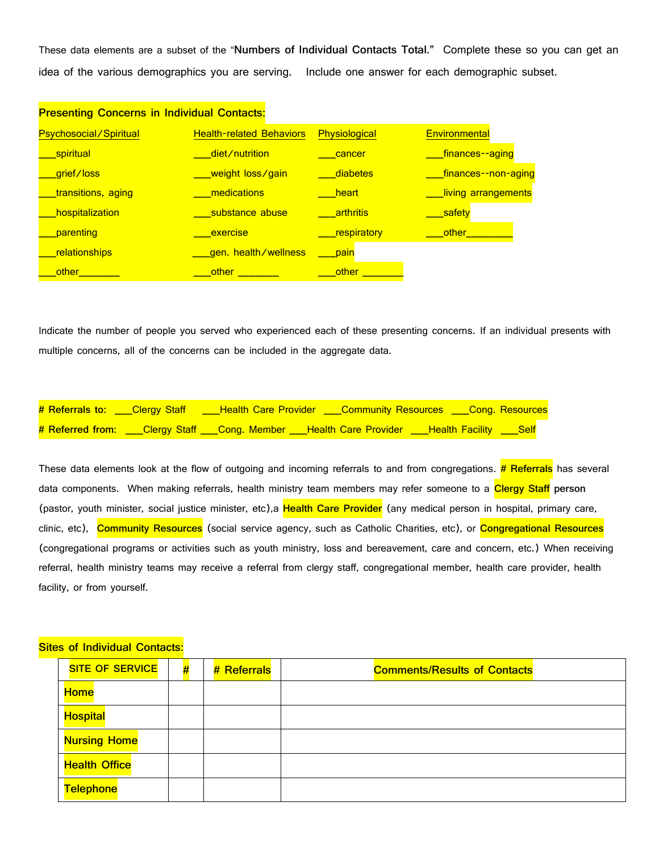These data elements are a subset of the "**Numbers of Individual Contacts Total."** Complete these so you can get an idea of the various demographics you are serving. Include one answer for each demographic subset.

| <b>Presenting Concerns in Individual Contacts:</b> |                                 |                   |                      |
|----------------------------------------------------|---------------------------------|-------------------|----------------------|
| <b>Psychosocial/Spiritual</b>                      | <b>Health-related Behaviors</b> | Physiological     | <b>Environmental</b> |
| spiritual                                          | □ diet ⁄ nutrition              | cancer            | finances--aging      |
| grief/loss                                         | <u>_weight_loss∕gain_</u>       | diabetes          | finances--non-aging_ |
| transitions, aging                                 | medications                     | <b>beart</b>      | living arrangements  |
| hospitalization                                    | substance abuse                 | <b>a</b> rthritis | safety               |
| parenting                                          | <b>exercise</b>                 | respiratory       | <u>other</u>         |
| relationships                                      | aen. health/wellness            | pain              |                      |
| other                                              | other                           | other             |                      |

Indicate the number of people you served who experienced each of these presenting concerns. If an individual presents with multiple concerns, all of the concerns can be included in the aggregate data.

|  | # Referrals to: ___Clergy Staff ____Health Care Provider ___Community Resources ___Cong. Resources  |  |
|--|-----------------------------------------------------------------------------------------------------|--|
|  | # Referred from: ___Clergy Staff ___Cong. Member ___Health Care Provider ___Health Facility ___Self |  |

These data elements look at the flow of outgoing and incoming referrals to and from congregations. **# Referrals** has several data components. When making referrals, health ministry team members may refer someone to a **Clergy Staff person** (pastor, youth minister, social justice minister, etc),a **Health Care Provider** (any medical person in hospital, primary care, clinic, etc), **Community Resources** (social service agency, such as Catholic Charities, etc), or **Congregational Resources** (congregational programs or activities such as youth ministry, loss and bereavement, care and concern, etc.) When receiving referral, health ministry teams may receive a referral from clergy staff, congregational member, health care provider, health facility, or from yourself.

#### **Sites of Individual Contacts:**

| <b>SITE OF SERVICE</b> | # | # Referrals | <b>Comments/Results of Contacts</b> |
|------------------------|---|-------------|-------------------------------------|
| <b>Home</b>            |   |             |                                     |
| <b>Hospital</b>        |   |             |                                     |
| <b>Nursing Home</b>    |   |             |                                     |
| <b>Health Office</b>   |   |             |                                     |
| <b>Telephone</b>       |   |             |                                     |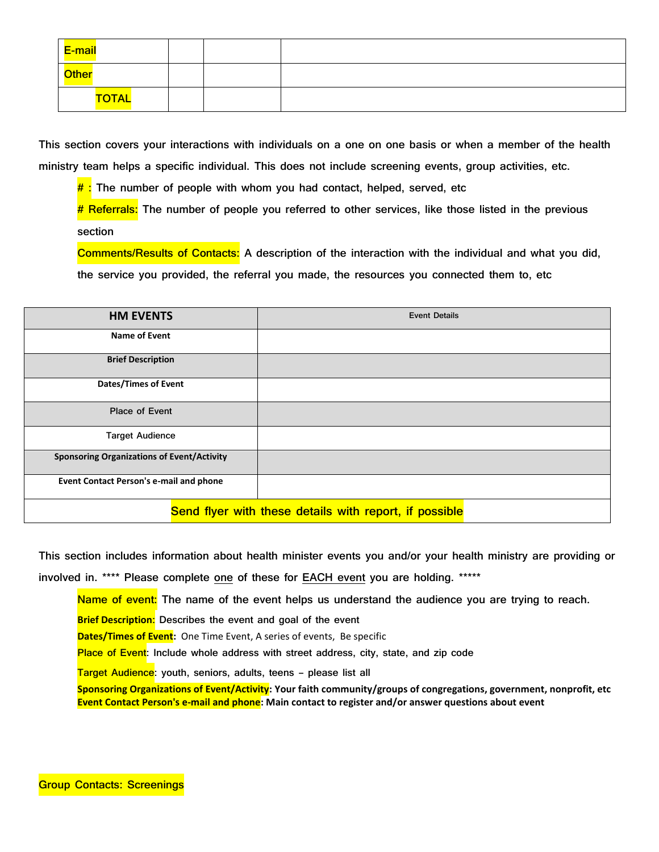| E-mail       |  |  |
|--------------|--|--|
| Other        |  |  |
| <b>TOTAL</b> |  |  |

**This section covers your interactions with individuals on a one on one basis or when a member of the health ministry team helps a specific individual. This does not include screening events, group activities, etc.**

**# : The number of people with whom you had contact, helped, served, etc**

**# Referrals: The number of people you referred to other services, like those listed in the previous section**

**Comments/Results of Contacts: A description of the interaction with the individual and what you did, the service you provided, the referral you made, the resources you connected them to, etc**

| <b>HM EVENTS</b>                                  | <b>Event Details</b>                                   |
|---------------------------------------------------|--------------------------------------------------------|
| Name of Event                                     |                                                        |
| <b>Brief Description</b>                          |                                                        |
| <b>Dates/Times of Event</b>                       |                                                        |
| <b>Place of Event</b>                             |                                                        |
| <b>Target Audience</b>                            |                                                        |
| <b>Sponsoring Organizations of Event/Activity</b> |                                                        |
| Event Contact Person's e-mail and phone           |                                                        |
|                                                   | Send flyer with these details with report, if possible |

**This section includes information about health minister events you and/or your health ministry are providing or involved in. \*\*\*\* Please complete one of these for EACH event you are holding. \*\*\*\*\***

**Name of event: The name of the event helps us understand the audience you are trying to reach.**

**Brief Description: Describes the event and goal of the event**

**Dates/Times of Event:** One Time Event, A series of events, Be specific

**Place of Event: Include whole address with street address, city, state, and zip code**

**Target Audience: youth, seniors, adults, teens – please list all**

**Sponsoring Organizations of Event/Activity: Your faith community/groups of congregations, government, nonprofit, etc Event Contact Person's e-mail and phone: Main contact to register and/or answer questions about event**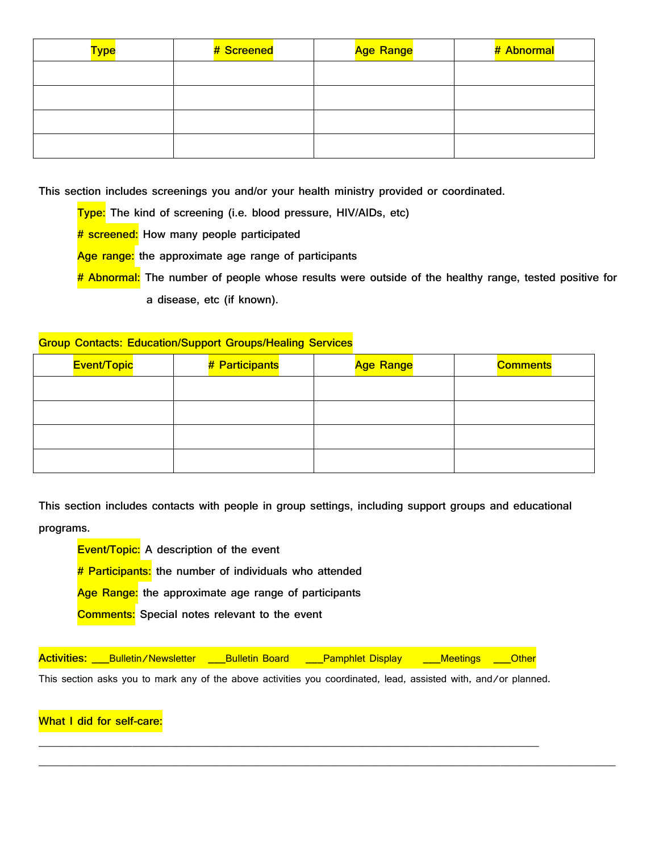| <b>Type</b> | # Screened | <b>Age Range</b> | # Abnormal |
|-------------|------------|------------------|------------|
|             |            |                  |            |
|             |            |                  |            |
|             |            |                  |            |
|             |            |                  |            |

**This section includes screenings you and/or your health ministry provided or coordinated.**

**Type: The kind of screening (i.e. blood pressure, HIV/AIDs, etc)**

**# screened: How many people participated**

**Age range: the approximate age range of participants**

**# Abnormal: The number of people whose results were outside of the healthy range, tested positive for a disease, etc (if known).**

### **Group Contacts: Education/Support Groups/Healing Services**

| <b>Event/Topic</b> | # Participants | <b>Age Range</b> | <b>Comments</b> |
|--------------------|----------------|------------------|-----------------|
|                    |                |                  |                 |
|                    |                |                  |                 |
|                    |                |                  |                 |
|                    |                |                  |                 |

**This section includes contacts with people in group settings, including support groups and educational programs.**

**Event/Topic: A description of the event # Participants: the number of individuals who attended Age Range: the approximate age range of participants Comments: Special notes relevant to the event**

**Activities:** Bulletin/Newsletter Bulletin Board Pamphlet Display Meetings Other

**\_\_\_\_\_\_\_\_\_\_\_\_\_\_\_\_\_\_\_\_\_\_\_\_\_\_\_\_\_\_\_\_\_\_\_\_\_\_\_\_\_\_\_\_\_\_\_\_\_\_\_\_\_\_\_\_\_\_\_\_\_\_\_\_\_\_\_\_\_\_\_\_\_\_\_\_\_\_\_\_\_\_\_\_\_\_\_\_\_\_\_**

**\_\_\_\_\_\_\_\_\_\_\_\_\_\_\_\_\_\_\_\_\_\_\_\_\_\_\_\_\_\_\_\_\_\_\_\_\_\_\_\_\_\_\_\_\_\_\_\_\_\_\_\_\_\_\_\_\_\_\_\_\_\_\_\_\_\_\_\_\_\_\_\_\_\_\_\_\_\_\_\_\_\_\_\_\_\_\_\_\_\_\_\_\_\_\_\_\_\_\_\_\_\_\_\_\_**

This section asks you to mark any of the above activities you coordinated, lead, assisted with, and/or planned.

**What I did for self-care:**